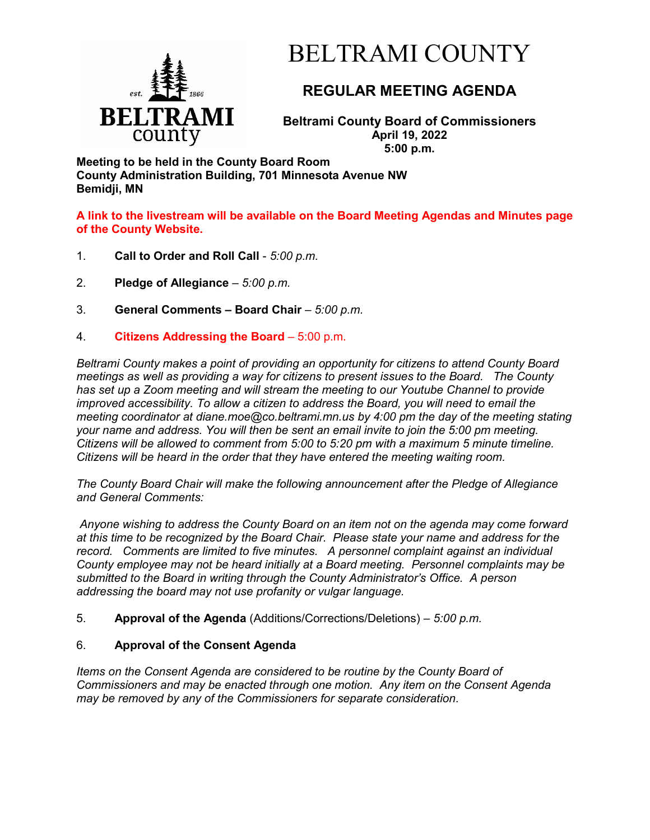

# BELTRAMI COUNTY

## **REGULAR MEETING AGENDA**

**Beltrami County Board of Commissioners April 19, 2022 5:00 p.m.**

**Meeting to be held in the County Board Room County Administration Building, 701 Minnesota Avenue NW Bemidji, MN**

**A link to the livestream will be available on the Board Meeting Agendas and Minutes page of the County Website.**

- 1. **Call to Order and Roll Call** *5:00 p.m.*
- 2. **Pledge of Allegiance**  *5:00 p.m.*
- 3. **General Comments – Board Chair** *5:00 p.m.*
- 4. **Citizens Addressing the Board**  5:00 p.m.

*Beltrami County makes a point of providing an opportunity for citizens to attend County Board meetings as well as providing a way for citizens to present issues to the Board. The County has set up a Zoom meeting and will stream the meeting to our Youtube Channel to provide improved accessibility. To allow a citizen to address the Board, you will need to email the meeting coordinator at diane.moe@co.beltrami.mn.us by 4:00 pm the day of the meeting stating your name and address. You will then be sent an email invite to join the 5:00 pm meeting. Citizens will be allowed to comment from 5:00 to 5:20 pm with a maximum 5 minute timeline. Citizens will be heard in the order that they have entered the meeting waiting room.* 

*The County Board Chair will make the following announcement after the Pledge of Allegiance and General Comments:*

*Anyone wishing to address the County Board on an item not on the agenda may come forward at this time to be recognized by the Board Chair. Please state your name and address for the record. Comments are limited to five minutes. A personnel complaint against an individual County employee may not be heard initially at a Board meeting. Personnel complaints may be submitted to the Board in writing through the County Administrator's Office. A person addressing the board may not use profanity or vulgar language.*

5. **Approval of the Agenda** (Additions/Corrections/Deletions) – *5:00 p.m.*

### 6. **Approval of the Consent Agenda**

*Items on the Consent Agenda are considered to be routine by the County Board of Commissioners and may be enacted through one motion. Any item on the Consent Agenda may be removed by any of the Commissioners for separate consideration*.